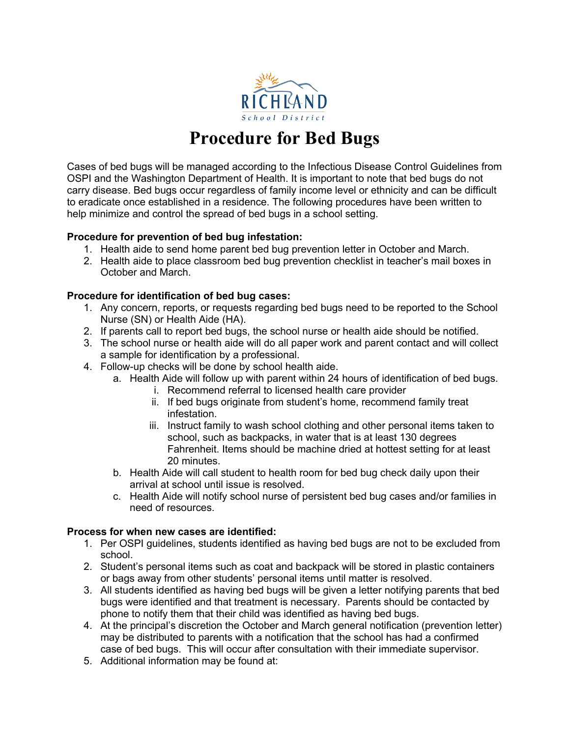

# **Procedure for Bed Bugs**

Cases of bed bugs will be managed according to the Infectious Disease Control Guidelines from OSPI and the Washington Department of Health. It is important to note that bed bugs do not carry disease. Bed bugs occur regardless of family income level or ethnicity and can be difficult to eradicate once established in a residence. The following procedures have been written to help minimize and control the spread of bed bugs in a school setting.

## **Procedure for prevention of bed bug infestation:**

- 1. Health aide to send home parent bed bug prevention letter in October and March.
- 2. Health aide to place classroom bed bug prevention checklist in teacher's mail boxes in October and March.

#### **Procedure for identification of bed bug cases:**

- 1. Any concern, reports, or requests regarding bed bugs need to be reported to the School Nurse (SN) or Health Aide (HA).
- 2. If parents call to report bed bugs, the school nurse or health aide should be notified.
- 3. The school nurse or health aide will do all paper work and parent contact and will collect a sample for identification by a professional.
- 4. Follow-up checks will be done by school health aide.
	- a. Health Aide will follow up with parent within 24 hours of identification of bed bugs.
		- i. Recommend referral to licensed health care provider
		- ii. If bed bugs originate from student's home, recommend family treat infestation.
		- iii. Instruct family to wash school clothing and other personal items taken to school, such as backpacks, in water that is at least 130 degrees Fahrenheit. Items should be machine dried at hottest setting for at least 20 minutes.
	- b. Health Aide will call student to health room for bed bug check daily upon their arrival at school until issue is resolved.
	- c. Health Aide will notify school nurse of persistent bed bug cases and/or families in need of resources.

#### **Process for when new cases are identified:**

- 1. Per OSPI guidelines, students identified as having bed bugs are not to be excluded from school.
- 2. Student's personal items such as coat and backpack will be stored in plastic containers or bags away from other students' personal items until matter is resolved.
- 3. All students identified as having bed bugs will be given a letter notifying parents that bed bugs were identified and that treatment is necessary. Parents should be contacted by phone to notify them that their child was identified as having bed bugs.
- 4. At the principal's discretion the October and March general notification (prevention letter) may be distributed to parents with a notification that the school has had a confirmed case of bed bugs. This will occur after consultation with their immediate supervisor.
- 5. Additional information may be found at: